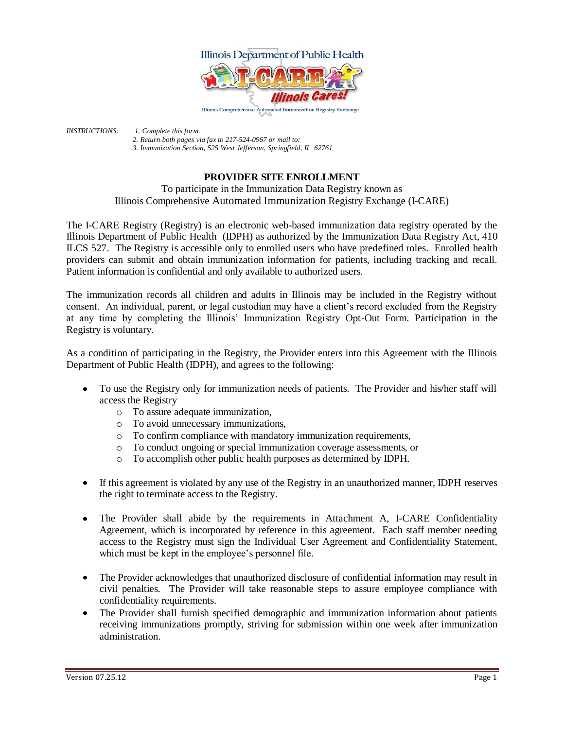

*INSTRUCTIONS: 1. Complete this form. 2. Return both pages via fax to 217-524-0967 or mail to: 3. Immunization Section, 525 West Jefferson, Springfield, IL 62761*

## **PROVIDER SITE ENROLLMENT**

To participate in the Immunization Data Registry known as Illinois Comprehensive Automated Immunization Registry Exchange (I-CARE)

The I-CARE Registry (Registry) is an electronic web-based immunization data registry operated by the Illinois Department of Public Health (IDPH) as authorized by the Immunization Data Registry Act, 410 ILCS 527. The Registry is accessible only to enrolled users who have predefined roles. Enrolled health providers can submit and obtain immunization information for patients, including tracking and recall. Patient information is confidential and only available to authorized users.

The immunization records all children and adults in Illinois may be included in the Registry without consent. An individual, parent, or legal custodian may have a client's record excluded from the Registry at any time by completing the Illinois' Immunization Registry Opt-Out Form. Participation in the Registry is voluntary.

As a condition of participating in the Registry, the Provider enters into this Agreement with the Illinois Department of Public Health (IDPH), and agrees to the following:

- To use the Registry only for immunization needs of patients. The Provider and his/her staff will access the Registry
	- o To assure adequate immunization,
	- o To avoid unnecessary immunizations,
	- o To confirm compliance with mandatory immunization requirements,
	- o To conduct ongoing or special immunization coverage assessments, or
	- o To accomplish other public health purposes as determined by IDPH.
- If this agreement is violated by any use of the Registry in an unauthorized manner, IDPH reserves the right to terminate access to the Registry.
- The Provider shall abide by the requirements in Attachment A, I-CARE Confidentiality  $\bullet$ Agreement, which is incorporated by reference in this agreement. Each staff member needing access to the Registry must sign the Individual User Agreement and Confidentiality Statement, which must be kept in the employee's personnel file.
- The Provider acknowledges that unauthorized disclosure of confidential information may result in civil penalties. The Provider will take reasonable steps to assure employee compliance with confidentiality requirements.
- The Provider shall furnish specified demographic and immunization information about patients  $\bullet$ receiving immunizations promptly, striving for submission within one week after immunization administration.